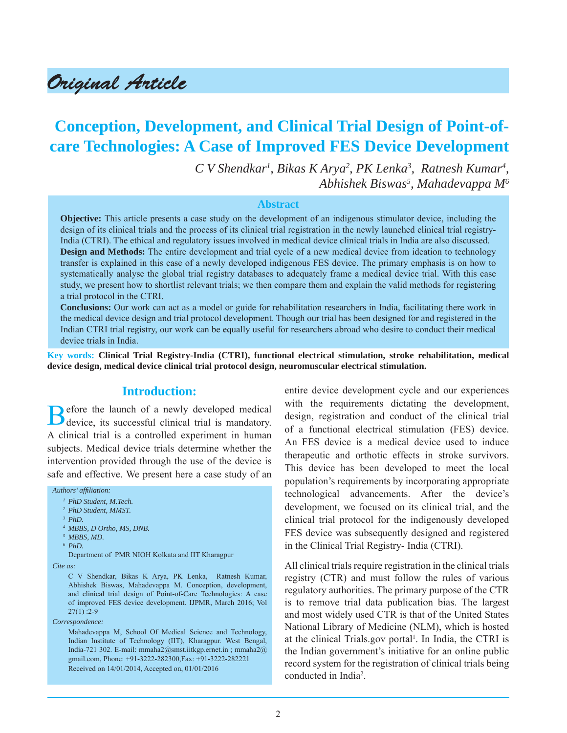# Original Article

## **Conception, Development, and Clinical Trial Design of Point-ofcare Technologies: A Case of Improved FES Device Development**

*C V Shendkar1 , Bikas K Arya2 , PK Lenka3 , Ratnesh Kumar4 , Abhishek Biswas5 , Mahadevappa M6*

#### **Abstract**

**Objective:** This article presents a case study on the development of an indigenous stimulator device, including the design of its clinical trials and the process of its clinical trial registration in the newly launched clinical trial registry-India (CTRI). The ethical and regulatory issues involved in medical device clinical trials in India are also discussed. **Design and Methods:** The entire development and trial cycle of a new medical device from ideation to technology transfer is explained in this case of a newly developed indigenous FES device. The primary emphasis is on how to systematically analyse the global trial registry databases to adequately frame a medical device trial. With this case study, we present how to shortlist relevant trials; we then compare them and explain the valid methods for registering a trial protocol in the CTRI.

**Conclusions:** Our work can act as a model or guide for rehabilitation researchers in India, facilitating there work in the medical device design and trial protocol development. Though our trial has been designed for and registered in the Indian CTRI trial registry, our work can be equally useful for researchers abroad who desire to conduct their medical device trials in India.

**Key words: Clinical Trial Registry-India (CTRI), functional electrical stimulation, stroke rehabilitation, medical device design, medical device clinical trial protocol design, neuromuscular electrical stimulation.**

#### **Introduction:**

Before the launch of a newly developed medical device, its successful clinical trial is mandatory. A clinical trial is a controlled experiment in human subjects. Medical device trials determine whether the intervention provided through the use of the device is safe and effective. We present here a case study of an

*Authors' affi liation:*

 Department of PMR NIOH Kolkata and IIT Kharagpur *Cite as:*

 C V Shendkar, Bikas K Arya, PK Lenka, Ratnesh Kumar, Abhishek Biswas, Mahadevappa M. Conception, development, and clinical trial design of Point-of-Care Technologies: A case of improved FES device development. IJPMR, March 2016; Vol 27(1) :2-9

*Correspondence:*

Mahadevappa M, School Of Medical Science and Technology, Indian Institute of Technology (IIT), Kharagpur. West Bengal, India-721 302. E-mail: mmaha2@smst.iitkgp.ernet.in ; mmaha2@ gmail.com, Phone: +91-3222-282300,Fax: +91-3222-282221 Received on 14/01/2014, Accepted on, 01/01/2016

entire device development cycle and our experiences with the requirements dictating the development, design, registration and conduct of the clinical trial of a functional electrical stimulation (FES) device. An FES device is a medical device used to induce therapeutic and orthotic effects in stroke survivors. This device has been developed to meet the local population's requirements by incorporating appropriate technological advancements. After the device's development, we focused on its clinical trial, and the clinical trial protocol for the indigenously developed FES device was subsequently designed and registered in the Clinical Trial Registry- India (CTRI).

All clinical trials require registration in the clinical trials registry (CTR) and must follow the rules of various regulatory authorities. The primary purpose of the CTR is to remove trial data publication bias. The largest and most widely used CTR is that of the United States National Library of Medicine (NLM), which is hosted at the clinical Trials.gov portal<sup>1</sup>. In India, the CTRI is the Indian government's initiative for an online public record system for the registration of clinical trials being conducted in India2 .

*<sup>1</sup> PhD Student, M.Tech. 2 PhD Student, MMST.*

*<sup>3</sup> PhD.*

*<sup>4</sup> MBBS, D Ortho, MS, DNB.*

*<sup>5</sup> MBBS, MD.* 

*<sup>6</sup> PhD.*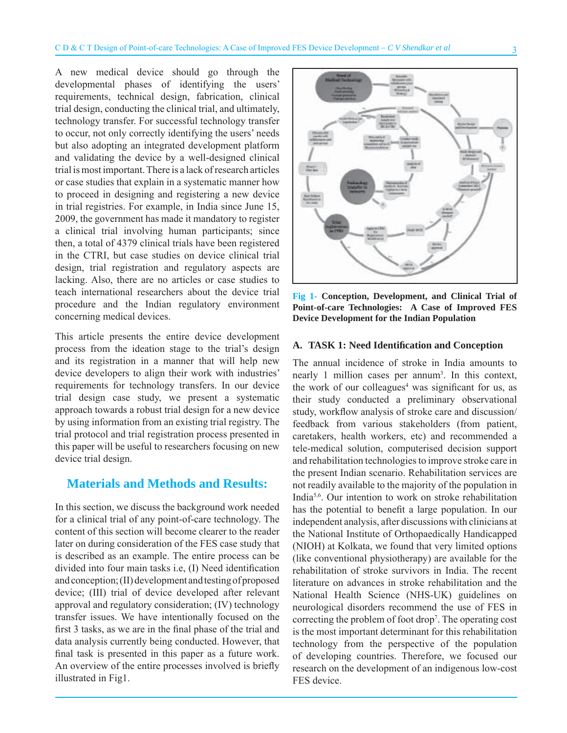A new medical device should go through the developmental phases of identifying the users' requirements, technical design, fabrication, clinical trial design, conducting the clinical trial, and ultimately, technology transfer. For successful technology transfer to occur, not only correctly identifying the users' needs but also adopting an integrated development platform and validating the device by a well-designed clinical trial is most important. There is a lack of research articles or case studies that explain in a systematic manner how to proceed in designing and registering a new device in trial registries. For example, in India since June 15, 2009, the government has made it mandatory to register a clinical trial involving human participants; since then, a total of 4379 clinical trials have been registered in the CTRI, but case studies on device clinical trial design, trial registration and regulatory aspects are lacking. Also, there are no articles or case studies to teach international researchers about the device trial procedure and the Indian regulatory environment concerning medical devices.

This article presents the entire device development process from the ideation stage to the trial's design and its registration in a manner that will help new device developers to align their work with industries' requirements for technology transfers. In our device trial design case study, we present a systematic approach towards a robust trial design for a new device by using information from an existing trial registry. The trial protocol and trial registration process presented in this paper will be useful to researchers focusing on new device trial design.

## **Materials and Methods and Results:**

In this section, we discuss the background work needed for a clinical trial of any point-of-care technology. The content of this section will become clearer to the reader later on during consideration of the FES case study that is described as an example. The entire process can be divided into four main tasks i.e, (I) Need identification and conception; (II) development and testing of proposed device; (III) trial of device developed after relevant approval and regulatory consideration; (IV) technology transfer issues. We have intentionally focused on the first 3 tasks, as we are in the final phase of the trial and data analysis currently being conducted. However, that final task is presented in this paper as a future work. An overview of the entire processes involved is briefly illustrated in Fig1.



**Fig 1- Conception, Development, and Clinical Trial of Point-of-care Technologies: A Case of Improved FES Device Development for the Indian Population**

#### **A. TASK 1: Need Identifi cation and Conception**

The annual incidence of stroke in India amounts to nearly 1 million cases per annum<sup>3</sup>. In this context, the work of our colleagues<sup>4</sup> was significant for us, as their study conducted a preliminary observational study, workflow analysis of stroke care and discussion/ feedback from various stakeholders (from patient, caretakers, health workers, etc) and recommended a tele-medical solution, computerised decision support and rehabilitation technologies to improve stroke care in the present Indian scenario. Rehabilitation services are not readily available to the majority of the population in India5,6. Our intention to work on stroke rehabilitation has the potential to benefit a large population. In our independent analysis, after discussions with clinicians at the National Institute of Orthopaedically Handicapped (NIOH) at Kolkata, we found that very limited options (like conventional physiotherapy) are available for the rehabilitation of stroke survivors in India. The recent literature on advances in stroke rehabilitation and the National Health Science (NHS-UK) guidelines on neurological disorders recommend the use of FES in correcting the problem of foot drop7 . The operating cost is the most important determinant for this rehabilitation technology from the perspective of the population of developing countries. Therefore, we focused our research on the development of an indigenous low-cost FES device.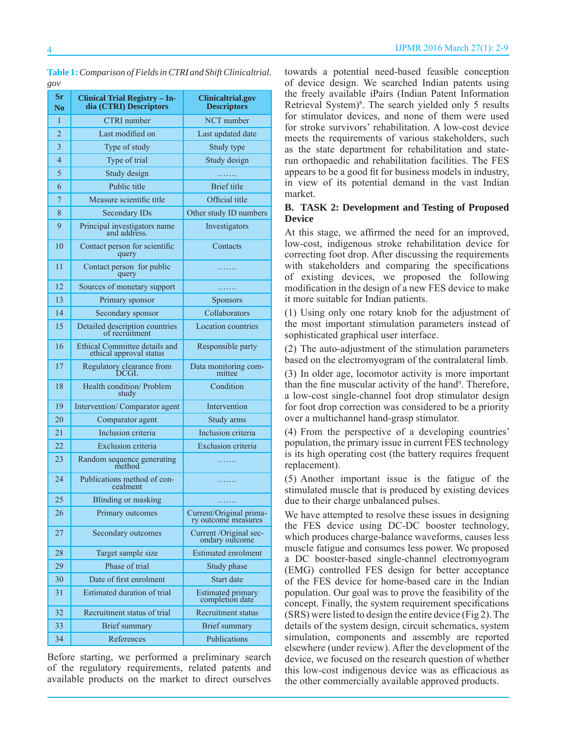| ςυν                  |                                                                |                                                |  |  |  |
|----------------------|----------------------------------------------------------------|------------------------------------------------|--|--|--|
| Sr<br>N <sub>0</sub> | <b>Clinical Trial Registry - In-</b><br>dia (CTRI) Descriptors | <b>Clinicaltrial.gov</b><br><b>Descriptors</b> |  |  |  |
| $\mathbf{1}$         | <b>CTRI</b> number<br>NCT number                               |                                                |  |  |  |
| $\overline{2}$       | Last modified on                                               | Last updated date                              |  |  |  |
| 3                    | Type of study<br>Study type                                    |                                                |  |  |  |
| $\overline{4}$       | Type of trial                                                  | Study design                                   |  |  |  |
| 5                    | Study design                                                   |                                                |  |  |  |
| 6                    | Public title                                                   | <b>Brief</b> title                             |  |  |  |
| 7                    | Measure scientific title<br>Official title                     |                                                |  |  |  |
| 8                    | <b>Secondary IDs</b><br>Other study ID numbers                 |                                                |  |  |  |
| 9                    | Investigators<br>Principal investigators name<br>and address.  |                                                |  |  |  |
| 10                   | Contact person for scientific<br>query                         | Contacts                                       |  |  |  |
| 11                   | Contact person for public<br>query                             |                                                |  |  |  |
| 12                   | Sources of monetary support                                    |                                                |  |  |  |
| 13                   | Primary sponsor                                                | <b>Sponsors</b>                                |  |  |  |
| 14                   | Secondary sponsor                                              | Collaborators                                  |  |  |  |
| 15                   | Detailed description countries<br>of recruitment               | Location countries                             |  |  |  |
| 16                   | Ethical Committee details and<br>ethical approval status       | Responsible party                              |  |  |  |
| 17                   | Regulatory clearance from<br>DCGL                              | Data monitoring com-<br>mittee                 |  |  |  |
| 18                   | Condition<br>Health condition/ Problem<br>study                |                                                |  |  |  |
| 19                   | Intervention/Comparator agent<br>Intervention                  |                                                |  |  |  |
| 20                   | Comparator agent                                               | Study arms                                     |  |  |  |
| 21                   | Inclusion criteria<br>Inclusion criteria                       |                                                |  |  |  |
| 22                   | Exclusion criteria<br>Exclusion criteria                       |                                                |  |  |  |
| 23                   | Random sequence generating<br>method<br>.                      |                                                |  |  |  |
| 24                   | Publications method of con-<br>.<br>cealment                   |                                                |  |  |  |
| 25                   | <b>Blinding or masking</b>                                     | .                                              |  |  |  |
| 26                   | Primary outcomes                                               | Current/Original prima-<br>ry outcome measures |  |  |  |
| 27                   | Secondary outcomes<br>Current /Original sec-<br>ondary outcome |                                                |  |  |  |
| 28                   | Target sample size                                             | <b>Estimated enrolment</b>                     |  |  |  |
| 29                   | Phase of trial                                                 | Study phase                                    |  |  |  |
| 30                   | Date of first enrolment                                        | Start date                                     |  |  |  |
| 31                   | Estimated duration of trial                                    | Estimated primary<br>completion date           |  |  |  |
| 32                   | Recruitment status of trial                                    | Recruitment status                             |  |  |  |
| 33                   | <b>Brief</b> summary                                           | <b>Brief</b> summary                           |  |  |  |
| 34                   | References<br>Publications                                     |                                                |  |  |  |

**Table 1:** *Comparison of Fields in CTRI and Shift Clinicaltrial. gov*

Before starting, we performed a preliminary search of the regulatory requirements, related patents and available products on the market to direct ourselves

towards a potential need-based feasible conception of device design. We searched Indian patents using the freely available iPairs (Indian Patent Information Retrieval System)<sup>8</sup>. The search yielded only 5 results for stimulator devices, and none of them were used for stroke survivors' rehabilitation. A low-cost device meets the requirements of various stakeholders, such as the state department for rehabilitation and staterun orthopaedic and rehabilitation facilities. The FES appears to be a good fit for business models in industry, in view of its potential demand in the vast Indian market.

#### **B. TASK 2: Development and Testing of Proposed Device**

At this stage, we affirmed the need for an improved, low-cost, indigenous stroke rehabilitation device for correcting foot drop. After discussing the requirements with stakeholders and comparing the specifications of existing devices, we proposed the following modification in the design of a new FES device to make it more suitable for Indian patients.

(1) Using only one rotary knob for the adjustment of the most important stimulation parameters instead of sophisticated graphical user interface.

(2) The auto-adjustment of the stimulation parameters based on the electromyogram of the contralateral limb.

(3) In older age, locomotor activity is more important than the fine muscular activity of the hand<sup>9</sup>. Therefore, a low-cost single-channel foot drop stimulator design for foot drop correction was considered to be a priority over a multichannel hand-grasp stimulator.

(4) From the perspective of a developing countries' population, the primary issue in current FES technology is its high operating cost (the battery requires frequent replacement).

(5) Another important issue is the fatigue of the stimulated muscle that is produced by existing devices due to their charge unbalanced pulses.

We have attempted to resolve these issues in designing the FES device using DC-DC booster technology, which produces charge-balance waveforms, causes less muscle fatigue and consumes less power. We proposed a DC booster-based single-channel electromyogram (EMG) controlled FES design for better acceptance of the FES device for home-based care in the Indian population. Our goal was to prove the feasibility of the concept. Finally, the system requirement specifications (SRS) were listed to design the entire device (Fig 2). The details of the system design, circuit schematics, system simulation, components and assembly are reported elsewhere (under review). After the development of the device, we focused on the research question of whether this low-cost indigenous device was as efficacious as the other commercially available approved products.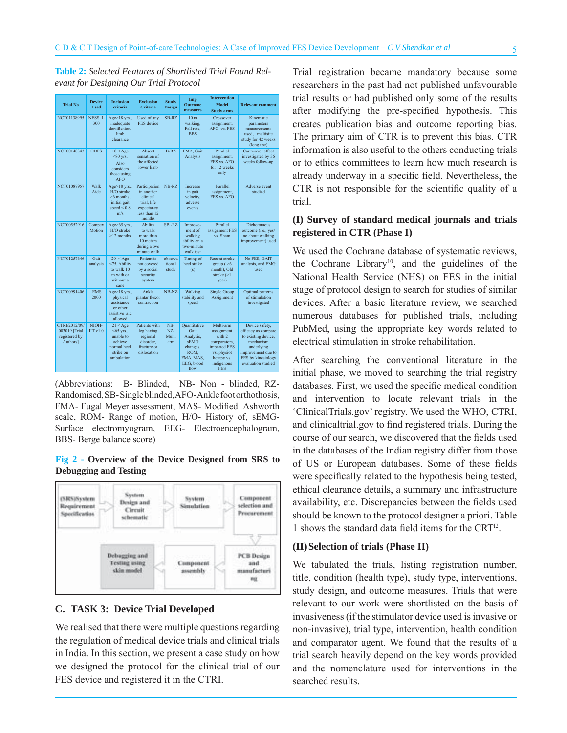**Table 2:** *Selected Features of Shortlisted Trial Found Relevant for Designing Our Trial Protocol*

| <b>Trial No</b>                                             | <b>Device</b><br><b>Used</b> | <b>Inclusion</b><br>criteria                                                                 | <b>Exclusion</b><br><b>Criteria</b>                                                            | <b>Study</b><br><b>Design</b> | Imp<br><b>Outcome</b><br>measures                                                                | <b>Intervention</b><br><b>Model</b><br><b>Study arms</b>                                                                   | <b>Relevant comment</b>                                                                                                                                   |
|-------------------------------------------------------------|------------------------------|----------------------------------------------------------------------------------------------|------------------------------------------------------------------------------------------------|-------------------------------|--------------------------------------------------------------------------------------------------|----------------------------------------------------------------------------------------------------------------------------|-----------------------------------------------------------------------------------------------------------------------------------------------------------|
| NCT01138995                                                 | NESS <sub>L</sub><br>300     | Age>18 yrs.,<br>inadequate<br>dorsiflexion/<br>limb<br>clearance                             | Used of any<br>FES device                                                                      | SB-RZ                         | 10 <sub>m</sub><br>walking,<br>Fall rate,<br><b>BBS</b>                                          | Crossover<br>assignment,<br>AFO vs. FES                                                                                    | Kinematic<br>parameters<br>measurements<br>used. multisite<br>study for 42 weeks<br>(long use)                                                            |
| NCT00148343                                                 | <b>ODFS</b>                  | $18 <$ Age<br>$< 80$ yrs.<br>Also<br>considers<br>those using<br><b>AFO</b>                  | Absent<br>sensation of<br>the affected<br>lower limb                                           | $B-RZ$                        | FMA, Gait<br>Analysis                                                                            | Parallel<br>assignment,<br>FES vs. AFO<br>for 12 weeks<br>only                                                             | Carry-over effect<br>investigated by 36<br>weeks follow-up                                                                                                |
| NCT01087957                                                 | Walk<br>Aide                 | $Age>18$ yrs.,<br>H/O stroke<br>$>6$ months.<br>initial gait<br>speed $\leq 0.8$<br>m/s      | Participation<br>in another<br>clinical<br>trial. life<br>expectancy<br>less than 12<br>months | NB-RZ                         | Increase<br>in gait<br>velocity,<br>adverse<br>events                                            | Parallel<br>assignment,<br>FES vs. AFO                                                                                     | Adverse event<br>studied                                                                                                                                  |
| NCT00552916                                                 | Compex<br>Motion             | Age>65 yrs.,<br>H/O stroke<br>$>12$ months                                                   | <b>Ability</b><br>to walk<br>more than<br>10 meters<br>during a two<br>minute walk             | SB-RZ                         | Improve-<br>ment of<br>walking<br>ability on a<br>two-minute<br>walk test                        | Parallel<br>assignment FES<br>vs. Sham                                                                                     | Dichotomous<br>outcome (i.e., yes/<br>no about walking<br>improvement) used                                                                               |
| NCT01257646                                                 | Gait<br>analysis             | 20 < Age<br><75, Ability<br>to walk 10<br>m with or<br>without a<br>cane                     | Patient is<br>not covered<br>by a social<br>security<br>system                                 | observa<br>tional<br>study    | Timing of<br>heel strike<br>(s)                                                                  | Recent stroke<br>group $($ >6<br>month), Old<br>stroke $(>1)$<br>year)                                                     | No FES, GAIT<br>analysis, and EMG<br>used                                                                                                                 |
| NCT00991406                                                 | <b>EMS</b><br>2000           | Age>18 yrs.,<br>physical<br>assistance<br>or other<br>assistive aid<br>allowed               | Ankle<br>plantar flexor<br>contraction                                                         | NB-NZ                         | Walking<br>stability and<br>speed                                                                | <b>Single Group</b><br>Assignment                                                                                          | Optimal patterns<br>of stimulation<br>investigated                                                                                                        |
| CTRI/2012/09/<br>003019 [Trial<br>registered by<br>Authors] | NIOH-<br>$\text{IIT v1.0}$   | $21 <$ Age<br>$<$ 65 vrs.,<br>unable to<br>achieve<br>normal heel<br>strike on<br>ambulation | Patients with<br>leg having<br>regional<br>disorder.<br>fracture or<br>dislocation             | NB-<br>NZ-<br>Multi<br>arm    | Ouantitative<br>Gait<br>Analysis,<br>sEMG<br>changes,<br>ROM,<br>FMA, MAS,<br>EEG. blood<br>flow | Multi-arm<br>assignment<br>with 2<br>comparators,<br>imported FES<br>vs. physiot<br>herapy vs.<br>indigenous<br><b>FES</b> | Device safety,<br>efficacy as compare<br>to existing device,<br>mechanism<br>underlying<br>improvement due to<br>FES by kinesiology<br>evaluation studied |

(Abbreviations: B- Blinded, NB- Non - blinded, RZ-Randomised, SB- Single blinded, AFO- Ankle foot orthothosis, FMA- Fugal Meyer assessment, MAS- Modified Ashworth scale, ROM- Range of motion, H/O- History of, sEMG-Surface electromyogram, EEG- Electroencephalogram, BBS- Berge balance score)

#### **Fig 2 - Overview of the Device Designed from SRS to Debugging and Testing**



#### **C. TASK 3: Device Trial Developed**

We realised that there were multiple questions regarding the regulation of medical device trials and clinical trials in India. In this section, we present a case study on how we designed the protocol for the clinical trial of our FES device and registered it in the CTRI.

Trial registration became mandatory because some researchers in the past had not published unfavourable trial results or had published only some of the results after modifying the pre-specified hypothesis. This creates publication bias and outcome reporting bias. The primary aim of CTR is to prevent this bias. CTR information is also useful to the others conducting trials or to ethics committees to learn how much research is already underway in a specific field. Nevertheless, the CTR is not responsible for the scientific quality of a trial.

#### **(I) Survey of standard medical journals and trials registered in CTR (Phase I)**

We used the Cochrane database of systematic reviews, the Cochrane Library<sup>10</sup>, and the guidelines of the National Health Service (NHS) on FES in the initial stage of protocol design to search for studies of similar devices. After a basic literature review, we searched numerous databases for published trials, including PubMed, using the appropriate key words related to electrical stimulation in stroke rehabilitation.

After searching the conventional literature in the initial phase, we moved to searching the trial registry databases. First, we used the specific medical condition and intervention to locate relevant trials in the 'ClinicalTrials.gov' registry. We used the WHO, CTRI, and clinicaltrial.gov to find registered trials. During the course of our search, we discovered that the fields used in the databases of the Indian registry differ from those of US or European databases. Some of these fields were specifically related to the hypothesis being tested, ethical clearance details, a summary and infrastructure availability, etc. Discrepancies between the fields used should be known to the protocol designer a priori. Table 1 shows the standard data field items for the  $CRT^{12}$ .

#### **(II) Selection of trials (Phase II)**

We tabulated the trials, listing registration number, title, condition (health type), study type, interventions, study design, and outcome measures. Trials that were relevant to our work were shortlisted on the basis of invasiveness (if the stimulator device used is invasive or non-invasive), trial type, intervention, health condition and comparator agent. We found that the results of a trial search heavily depend on the key words provided and the nomenclature used for interventions in the searched results.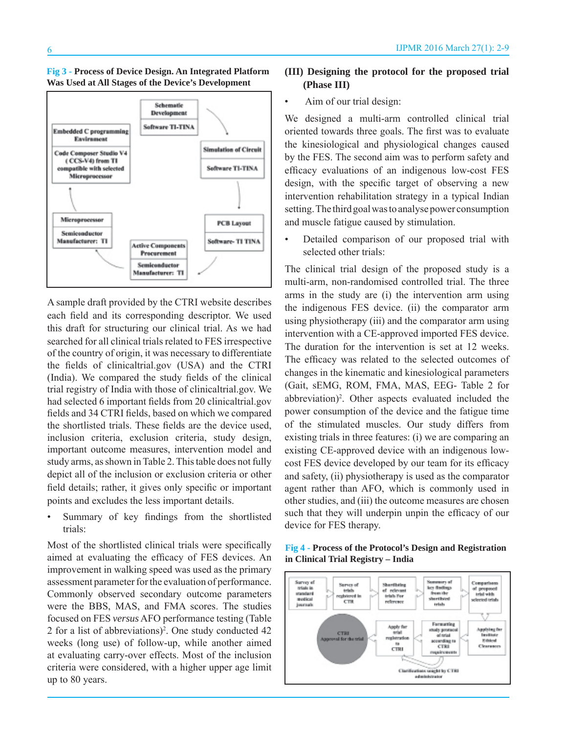



A sample draft provided by the CTRI website describes each field and its corresponding descriptor. We used this draft for structuring our clinical trial. As we had searched for all clinical trials related to FES irrespective of the country of origin, it was necessary to differentiate the fields of clinicaltrial.gov (USA) and the CTRI (India). We compared the study fields of the clinical trial registry of India with those of clinicaltrial.gov. We had selected 6 important fields from 20 clinicaltrial.gov fields and 34 CTRI fields, based on which we compared the shortlisted trials. These fields are the device used, inclusion criteria, exclusion criteria, study design, important outcome measures, intervention model and study arms, as shown in Table 2. This table does not fully depict all of the inclusion or exclusion criteria or other field details; rather, it gives only specific or important points and excludes the less important details.

• Summary of key findings from the shortlisted trials:

Most of the shortlisted clinical trials were specifically aimed at evaluating the efficacy of FES devices. An improvement in walking speed was used as the primary assessment parameter for the evaluation of performance. Commonly observed secondary outcome parameters were the BBS, MAS, and FMA scores. The studies focused on FES *versus* AFO performance testing (Table 2 for a list of abbreviations)2 . One study conducted 42 weeks (long use) of follow-up, while another aimed at evaluating carry-over effects. Most of the inclusion criteria were considered, with a higher upper age limit up to 80 years.

#### **(III) Designing the protocol for the proposed trial (Phase III)**

• Aim of our trial design:

We designed a multi-arm controlled clinical trial oriented towards three goals. The first was to evaluate the kinesiological and physiological changes caused by the FES. The second aim was to perform safety and efficacy evaluations of an indigenous low-cost FES design, with the specific target of observing a new intervention rehabilitation strategy in a typical Indian setting. The third goal was to analyse power consumption and muscle fatigue caused by stimulation.

• Detailed comparison of our proposed trial with selected other trials:

The clinical trial design of the proposed study is a multi-arm, non-randomised controlled trial. The three arms in the study are (i) the intervention arm using the indigenous FES device. (ii) the comparator arm using physiotherapy (iii) and the comparator arm using intervention with a CE-approved imported FES device. The duration for the intervention is set at 12 weeks. The efficacy was related to the selected outcomes of changes in the kinematic and kinesiological parameters (Gait, sEMG, ROM, FMA, MAS, EEG- Table 2 for abbreviation)<sup>2</sup>. Other aspects evaluated included the power consumption of the device and the fatigue time of the stimulated muscles. Our study differs from existing trials in three features: (i) we are comparing an existing CE-approved device with an indigenous lowcost FES device developed by our team for its efficacy and safety, (ii) physiotherapy is used as the comparator agent rather than AFO, which is commonly used in other studies, and (iii) the outcome measures are chosen such that they will underpin unpin the efficacy of our device for FES therapy.



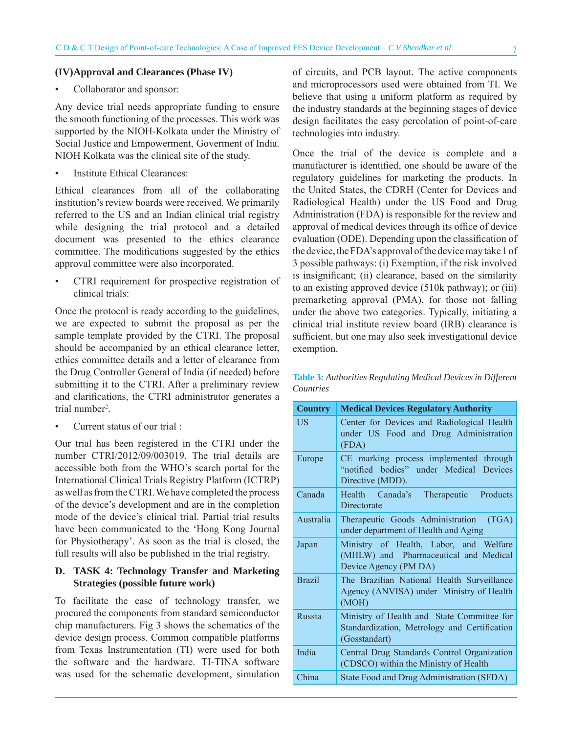#### **(IV) Approval and Clearances (Phase IV)**

#### • Collaborator and sponsor:

Any device trial needs appropriate funding to ensure the smooth functioning of the processes. This work was supported by the NIOH-Kolkata under the Ministry of Social Justice and Empowerment, Goverment of India. NIOH Kolkata was the clinical site of the study.

• Institute Ethical Clearances:

Ethical clearances from all of the collaborating institution's review boards were received. We primarily referred to the US and an Indian clinical trial registry while designing the trial protocol and a detailed document was presented to the ethics clearance committee. The modifications suggested by the ethics approval committee were also incorporated.

• CTRI requirement for prospective registration of clinical trials:

Once the protocol is ready according to the guidelines, we are expected to submit the proposal as per the sample template provided by the CTRI. The proposal should be accompanied by an ethical clearance letter, ethics committee details and a letter of clearance from the Drug Controller General of India (if needed) before submitting it to the CTRI. After a preliminary review and clarifications, the CTRI administrator generates a trial number<sup>2</sup>.

• Current status of our trial :

Our trial has been registered in the CTRI under the number CTRI/2012/09/003019. The trial details are accessible both from the WHO's search portal for the International Clinical Trials Registry Platform (ICTRP) as well as from the CTRI. We have completed the process of the device's development and are in the completion mode of the device's clinical trial. Partial trial results have been communicated to the 'Hong Kong Journal for Physiotherapy'. As soon as the trial is closed, the full results will also be published in the trial registry.

#### **D. TASK 4: Technology Transfer and Marketing Strategies (possible future work)**

To facilitate the ease of technology transfer, we procured the components from standard semiconductor chip manufacturers. Fig 3 shows the schematics of the device design process. Common compatible platforms from Texas Instrumentation (TI) were used for both the software and the hardware. TI-TINA software was used for the schematic development, simulation

of circuits, and PCB layout. The active components and microprocessors used were obtained from TI. We believe that using a uniform platform as required by the industry standards at the beginning stages of device design facilitates the easy percolation of point-of-care technologies into industry.

Once the trial of the device is complete and a manufacturer is identified, one should be aware of the regulatory guidelines for marketing the products. In the United States, the CDRH (Center for Devices and Radiological Health) under the US Food and Drug Administration (FDA) is responsible for the review and approval of medical devices through its office of device evaluation (ODE). Depending upon the classification of the device, the FDA's approval of the device may take 1 of 3 possible pathways: (i) Exemption, if the risk involved is insignificant; (ii) clearance, based on the similarity to an existing approved device (510k pathway); or (iii) premarketing approval (PMA), for those not falling under the above two categories. Typically, initiating a clinical trial institute review board (IRB) clearance is sufficient, but one may also seek investigational device exemption.

**Table 3:** *Authorities Regulating Medical Devices in Different Countries*

| <b>Country</b> | <b>Medical Devices Regulatory Authority</b>                                                                 |  |  |
|----------------|-------------------------------------------------------------------------------------------------------------|--|--|
| US             | Center for Devices and Radiological Health<br>under US Food and Drug Administration<br>(FDA)                |  |  |
| Europe         | CE marking process implemented through<br>"notified bodies" under Medical Devices<br>Directive (MDD).       |  |  |
| Canada         | Health Canada's Therapeutic<br>Products<br>Directorate                                                      |  |  |
| Australia      | Therapeutic Goods Administration<br>(TGA)<br>under department of Health and Aging                           |  |  |
| Japan          | Ministry of Health, Labor, and Welfare<br>(MHLW) and Pharmaceutical and Medical<br>Device Agency (PM DA)    |  |  |
| <b>Brazil</b>  | The Brazilian National Health Surveillance<br>Agency (ANVISA) under Ministry of Health<br>(MOH)             |  |  |
| <b>Russia</b>  | Ministry of Health and State Committee for<br>Standardization, Metrology and Certification<br>(Gosstandart) |  |  |
| India          | Central Drug Standards Control Organization<br>(CDSCO) within the Ministry of Health                        |  |  |
| China          | State Food and Drug Administration (SFDA)                                                                   |  |  |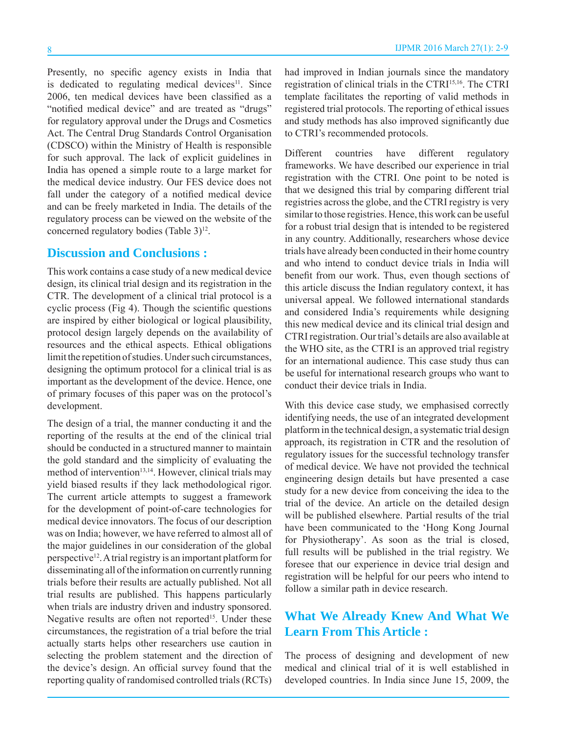Presently, no specific agency exists in India that is dedicated to regulating medical devices $11$ . Since 2006, ten medical devices have been classified as a "notified medical device" and are treated as "drugs" for regulatory approval under the Drugs and Cosmetics Act. The Central Drug Standards Control Organisation (CDSCO) within the Ministry of Health is responsible for such approval. The lack of explicit guidelines in India has opened a simple route to a large market for the medical device industry. Our FES device does not fall under the category of a notified medical device and can be freely marketed in India. The details of the regulatory process can be viewed on the website of the concerned regulatory bodies (Table 3)<sup>12</sup>.

### **Discussion and Conclusions :**

This work contains a case study of a new medical device design, its clinical trial design and its registration in the CTR. The development of a clinical trial protocol is a cyclic process (Fig 4). Though the scientific questions are inspired by either biological or logical plausibility, protocol design largely depends on the availability of resources and the ethical aspects. Ethical obligations limit the repetition of studies. Under such circumstances, designing the optimum protocol for a clinical trial is as important as the development of the device. Hence, one of primary focuses of this paper was on the protocol's development.

The design of a trial, the manner conducting it and the reporting of the results at the end of the clinical trial should be conducted in a structured manner to maintain the gold standard and the simplicity of evaluating the method of intervention<sup>13,14</sup>. However, clinical trials may yield biased results if they lack methodological rigor. The current article attempts to suggest a framework for the development of point-of-care technologies for medical device innovators. The focus of our description was on India; however, we have referred to almost all of the major guidelines in our consideration of the global perspective<sup>12</sup>. A trial registry is an important platform for disseminating all of the information on currently running trials before their results are actually published. Not all trial results are published. This happens particularly when trials are industry driven and industry sponsored. Negative results are often not reported<sup>15</sup>. Under these circumstances, the registration of a trial before the trial actually starts helps other researchers use caution in selecting the problem statement and the direction of the device's design. An official survey found that the reporting quality of randomised controlled trials (RCTs)

had improved in Indian journals since the mandatory registration of clinical trials in the CTRI15,16. The CTRI template facilitates the reporting of valid methods in registered trial protocols. The reporting of ethical issues and study methods has also improved significantly due to CTRI's recommended protocols.

Different countries have different regulatory frameworks. We have described our experience in trial registration with the CTRI. One point to be noted is that we designed this trial by comparing different trial registries across the globe, and the CTRI registry is very similar to those registries. Hence, this work can be useful for a robust trial design that is intended to be registered in any country. Additionally, researchers whose device trials have already been conducted in their home country and who intend to conduct device trials in India will benefit from our work. Thus, even though sections of this article discuss the Indian regulatory context, it has universal appeal. We followed international standards and considered India's requirements while designing this new medical device and its clinical trial design and CTRI registration. Our trial's details are also available at the WHO site, as the CTRI is an approved trial registry for an international audience. This case study thus can be useful for international research groups who want to conduct their device trials in India.

With this device case study, we emphasised correctly identifying needs, the use of an integrated development platform in the technical design, a systematic trial design approach, its registration in CTR and the resolution of regulatory issues for the successful technology transfer of medical device. We have not provided the technical engineering design details but have presented a case study for a new device from conceiving the idea to the trial of the device. An article on the detailed design will be published elsewhere. Partial results of the trial have been communicated to the 'Hong Kong Journal for Physiotherapy'. As soon as the trial is closed, full results will be published in the trial registry. We foresee that our experience in device trial design and registration will be helpful for our peers who intend to follow a similar path in device research.

## **What We Already Knew And What We Learn From This Article :**

The process of designing and development of new medical and clinical trial of it is well established in developed countries. In India since June 15, 2009, the